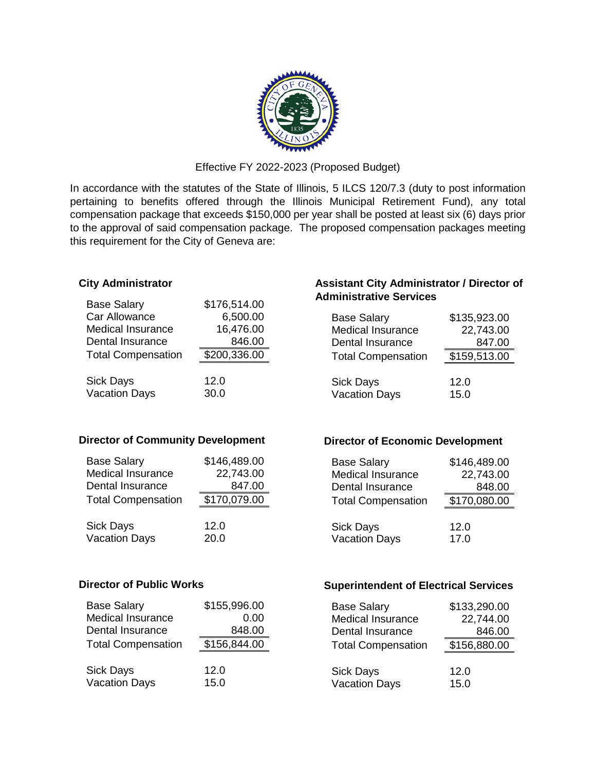

Effective FY 2022-2023 (Proposed Budget)

In accordance with the statutes of the State of Illinois, 5 ILCS 120/7.3 (duty to post information pertaining to benefits offered through the Illinois Municipal Retirement Fund), any total compensation package that exceeds \$150,000 per year shall be posted at least six (6) days prior to the approval of said compensation package. The proposed compensation packages meeting this requirement for the City of Geneva are:

#### **City Administrator**

| <b>Base Salary</b>        | \$176,514.00 |
|---------------------------|--------------|
| Car Allowance             | 6,500.00     |
| <b>Medical Insurance</b>  | 16,476.00    |
| Dental Insurance          | 846.00       |
| <b>Total Compensation</b> | \$200,336.00 |
|                           |              |
| Sick Days                 | 12.0         |
| <b>Vacation Days</b>      | 30.0         |
|                           |              |

### **Director of Community Development**

| <b>Base Salary</b>        | \$146,489.00 |
|---------------------------|--------------|
| <b>Medical Insurance</b>  | 22,743.00    |
| Dental Insurance          | 847.00       |
| <b>Total Compensation</b> | \$170,079.00 |
| <b>Sick Days</b>          | 12.0         |
| <b>Vacation Days</b>      | 20.0         |

## **Assistant City Administrator / Director of Administrative Services**

| <b>Base Salary</b>        | \$135,923.00 |
|---------------------------|--------------|
| <b>Medical Insurance</b>  | 22,743.00    |
| Dental Insurance          | 847.00       |
| <b>Total Compensation</b> | \$159,513.00 |
| <b>Sick Days</b>          | 12.0         |
| <b>Vacation Days</b>      | 15.0         |

### **Director of Economic Development**

| <b>Base Salary</b>        | \$146,489.00 |
|---------------------------|--------------|
| Medical Insurance         | 22,743.00    |
| Dental Insurance          | 848.00       |
| <b>Total Compensation</b> | \$170,080.00 |
|                           |              |
| <b>Sick Days</b>          | 12.0         |
| <b>Vacation Days</b>      | 17.0         |

### **Director of Public Works**

| <b>Base Salary</b>        | \$155,996.00 |
|---------------------------|--------------|
| <b>Medical Insurance</b>  | 0.00         |
| Dental Insurance          | 848.00       |
| <b>Total Compensation</b> | \$156,844.00 |
|                           |              |
| <b>Sick Days</b>          | 12.0         |
| <b>Vacation Days</b>      | 15.0         |

### **Superintendent of Electrical Services**

| <b>Base Salary</b>        | \$133,290.00 |
|---------------------------|--------------|
| <b>Medical Insurance</b>  | 22,744.00    |
| Dental Insurance          | 846.00       |
| <b>Total Compensation</b> | \$156,880.00 |
| <b>Sick Days</b>          | 12.0         |
| <b>Vacation Days</b>      | 15.0         |